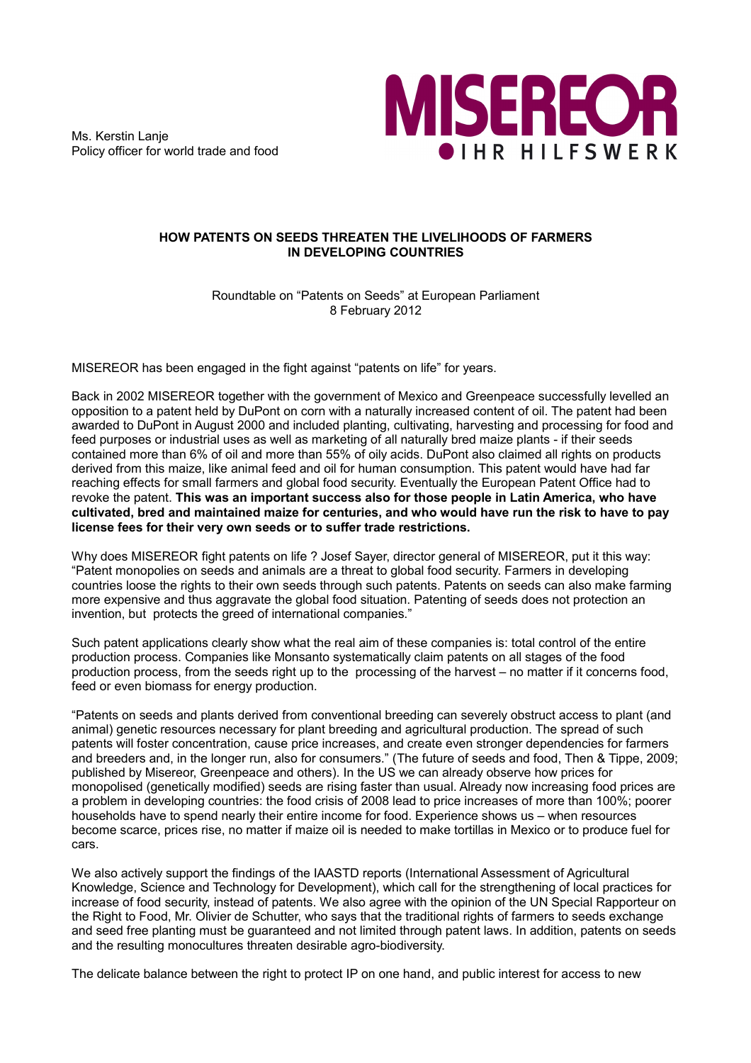Ms. Kerstin Lanje Policy officer for world trade and food



## **HOW PATENTS ON SEEDS THREATEN THE LIVELIHOODS OF FARMERS IN DEVELOPING COUNTRIES**

Roundtable on "Patents on Seeds" at European Parliament 8 February 2012

MISEREOR has been engaged in the fight against "patents on life" for years.

Back in 2002 MISEREOR together with the government of Mexico and Greenpeace successfully levelled an opposition to a patent held by DuPont on corn with a naturally increased content of oil. The patent had been awarded to DuPont in August 2000 and included planting, cultivating, harvesting and processing for food and feed purposes or industrial uses as well as marketing of all naturally bred maize plants - if their seeds contained more than 6% of oil and more than 55% of oily acids. DuPont also claimed all rights on products derived from this maize, like animal feed and oil for human consumption. This patent would have had far reaching effects for small farmers and global food security. Eventually the European Patent Office had to revoke the patent. **This was an important success also for those people in Latin America, who have cultivated, bred and maintained maize for centuries, and who would have run the risk to have to pay license fees for their very own seeds or to suffer trade restrictions.**

Why does MISEREOR fight patents on life ? Josef Sayer, director general of MISEREOR, put it this way: "Patent monopolies on seeds and animals are a threat to global food security. Farmers in developing countries loose the rights to their own seeds through such patents. Patents on seeds can also make farming more expensive and thus aggravate the global food situation. Patenting of seeds does not protection an invention, but protects the greed of international companies."

Such patent applications clearly show what the real aim of these companies is: total control of the entire production process. Companies like Monsanto systematically claim patents on all stages of the food production process, from the seeds right up to the processing of the harvest – no matter if it concerns food, feed or even biomass for energy production.

"Patents on seeds and plants derived from conventional breeding can severely obstruct access to plant (and animal) genetic resources necessary for plant breeding and agricultural production. The spread of such patents will foster concentration, cause price increases, and create even stronger dependencies for farmers and breeders and, in the longer run, also for consumers." (The future of seeds and food, Then & Tippe, 2009; published by Misereor, Greenpeace and others). In the US we can already observe how prices for monopolised (genetically modified) seeds are rising faster than usual. Already now increasing food prices are a problem in developing countries: the food crisis of 2008 lead to price increases of more than 100%; poorer households have to spend nearly their entire income for food. Experience shows us – when resources become scarce, prices rise, no matter if maize oil is needed to make tortillas in Mexico or to produce fuel for cars.

We also actively support the findings of the IAASTD reports (International Assessment of Agricultural Knowledge, Science and Technology for Development), which call for the strengthening of local practices for increase of food security, instead of patents. We also agree with the opinion of the UN Special Rapporteur on the Right to Food, Mr. Olivier de Schutter, who says that the traditional rights of farmers to seeds exchange and seed free planting must be guaranteed and not limited through patent laws. In addition, patents on seeds and the resulting monocultures threaten desirable agro-biodiversity.

The delicate balance between the right to protect IP on one hand, and public interest for access to new